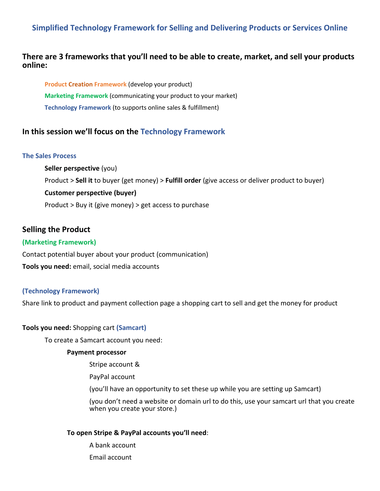# **Simplified Technology Framework for Selling and Delivering Products or Services Online**

# **There are 3 frameworks that you'll need to be able to create, market, and sell your products online:**

**Product Creation Framework** (develop your product) **Marketing Framework** (communicating your product to your market) **Technology Framework** (to supports online sales & fulfillment)

# **In this session we'll focus on the Technology Framework**

#### **The Sales Process**

**Seller perspective** (you) Product > **Sell it** to buyer (get money) > **Fulfill order** (give access or deliver product to buyer) **Customer perspective (buyer)** Product > Buy it (give money) > get access to purchase

# **Selling the Product**

### **(Marketing Framework)**

Contact potential buyer about your product (communication)

**Tools you need:** email, social media accounts

#### **(Technology Framework)**

Share link to product and payment collection page a shopping cart to sell and get the money for product

#### **Tools you need:** Shopping cart **(Samcart)**

To create a Samcart account you need:

#### **Payment processor**

Stripe account &

PayPal account

(you'll have an opportunity to set these up while you are setting up Samcart)

(you don't need a website or domain url to do this, use your samcart url that you create when you create your store.)

### **To open Stripe & PayPal accounts you'll need**:

A bank account Email account